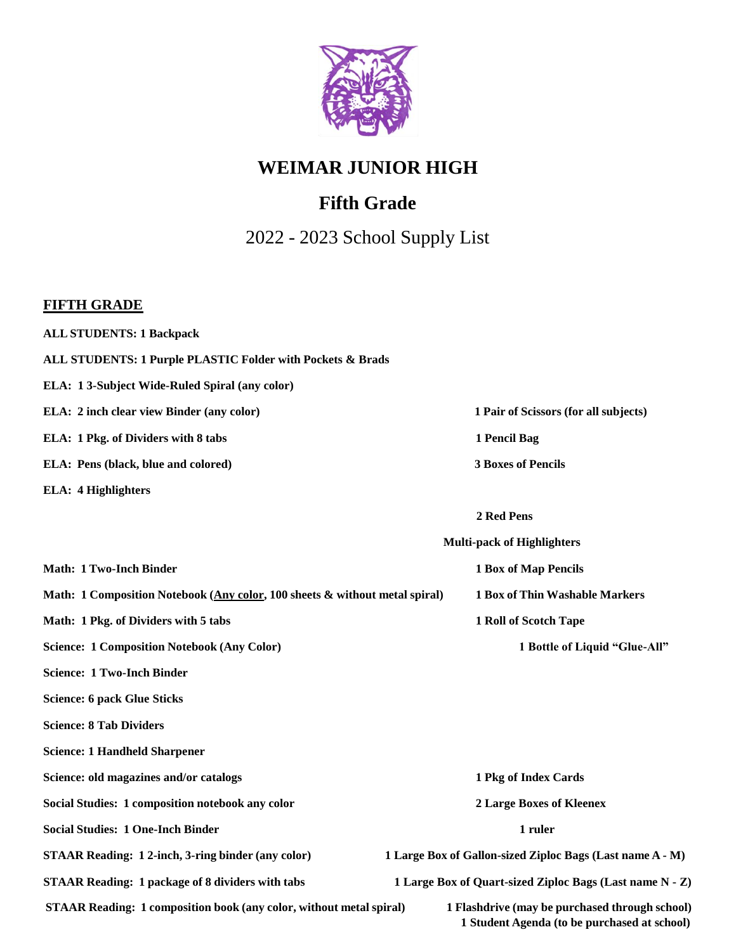

# **Fifth Grade**

2022 - 2023 School Supply List

### **FIFTH GRADE**

| <b>ALL STUDENTS: 1 Backpack</b>                                             |                                                                                                |
|-----------------------------------------------------------------------------|------------------------------------------------------------------------------------------------|
| ALL STUDENTS: 1 Purple PLASTIC Folder with Pockets & Brads                  |                                                                                                |
| ELA: 13-Subject Wide-Ruled Spiral (any color)                               |                                                                                                |
| ELA: 2 inch clear view Binder (any color)                                   | 1 Pair of Scissors (for all subjects)                                                          |
| ELA: 1 Pkg. of Dividers with 8 tabs                                         | 1 Pencil Bag                                                                                   |
| ELA: Pens (black, blue and colored)                                         | <b>3 Boxes of Pencils</b>                                                                      |
| <b>ELA: 4 Highlighters</b>                                                  |                                                                                                |
|                                                                             | 2 Red Pens                                                                                     |
|                                                                             | <b>Multi-pack of Highlighters</b>                                                              |
| <b>Math: 1 Two-Inch Binder</b>                                              | <b>1 Box of Map Pencils</b>                                                                    |
| Math: 1 Composition Notebook (Any color, 100 sheets & without metal spiral) | 1 Box of Thin Washable Markers                                                                 |
| Math: 1 Pkg. of Dividers with 5 tabs                                        | 1 Roll of Scotch Tape                                                                          |
| <b>Science: 1 Composition Notebook (Any Color)</b>                          | 1 Bottle of Liquid "Glue-All"                                                                  |
| <b>Science: 1 Two-Inch Binder</b>                                           |                                                                                                |
| <b>Science: 6 pack Glue Sticks</b>                                          |                                                                                                |
| <b>Science: 8 Tab Dividers</b>                                              |                                                                                                |
| <b>Science: 1 Handheld Sharpener</b>                                        |                                                                                                |
| Science: old magazines and/or catalogs                                      | 1 Pkg of Index Cards                                                                           |
| Social Studies: 1 composition notebook any color                            | <b>2 Large Boxes of Kleenex</b>                                                                |
| <b>Social Studies: 1 One-Inch Binder</b>                                    | 1 ruler                                                                                        |
| <b>STAAR Reading: 12-inch, 3-ring binder (any color)</b>                    | 1 Large Box of Gallon-sized Ziploc Bags (Last name A - M)                                      |
| <b>STAAR Reading: 1 package of 8 dividers with tabs</b>                     | 1 Large Box of Quart-sized Ziploc Bags (Last name N - Z)                                       |
| <b>STAAR Reading: 1 composition book (any color, without metal spiral)</b>  | 1 Flashdrive (may be purchased through school)<br>1 Student Agenda (to be purchased at school) |
|                                                                             |                                                                                                |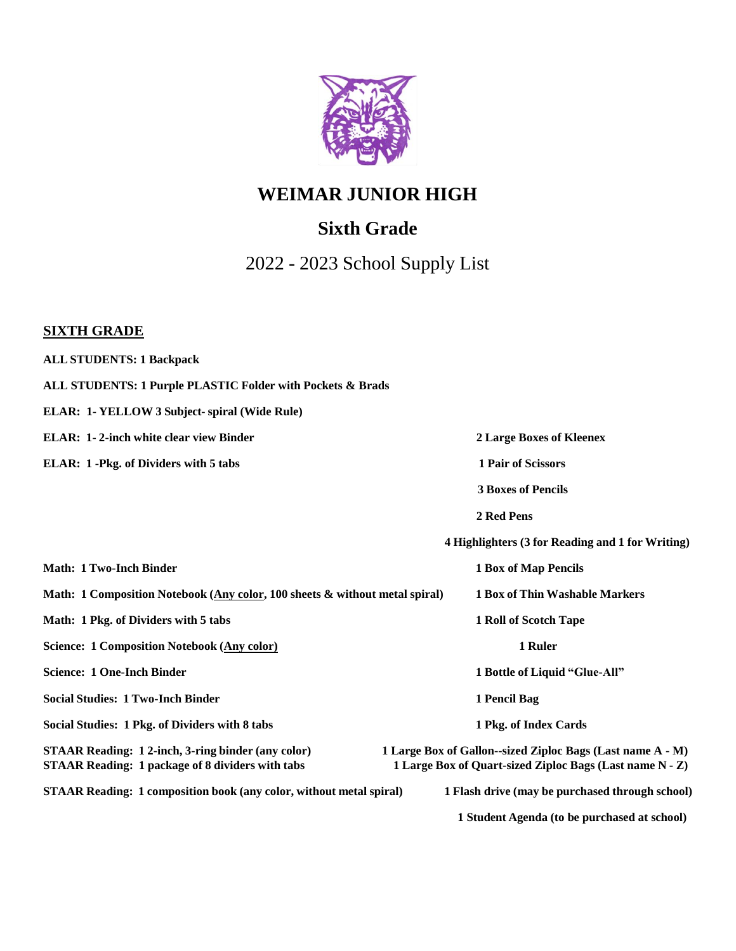

## **Sixth Grade**

2022 - 2023 School Supply List

#### **SIXTH GRADE**

**ALL STUDENTS: 1 Backpack ALL STUDENTS: 1 Purple PLASTIC Folder with Pockets & Brads ELAR: 1- YELLOW 3 Subject- spiral (Wide Rule) ELAR: 1- 2-inch white clear view Binder 2 Large Boxes of Kleenex ELAR: 1 -Pkg. of Dividers with 5 tabs 1 Pair of Scissors 3 Boxes of Pencils 2 Red Pens 4 Highlighters (3 for Reading and 1 for Writing) Math: 1 Two-Inch Binder 1 Box of Map Pencils** Math: 1 Composition Notebook (Any color, 100 sheets & without metal spiral) 1 Box of Thin Washable Markers **Math: 1 Pkg. of Dividers with 5 tabs 1 Roll of Scotch Tape Science: 1 Composition Notebook (Any color) 1 Ruler Science: 1 One-Inch Binder 1 Bottle of Liquid "Glue-All" Social Studies: 1 Two-Inch Binder 1 Pencil Bag Social Studies: 1 Pkg. of Dividers with 8 tabs 1 Pkg. of Index Cards STAAR Reading: 1 2-inch, 3-ring binder (any color) 1 Large Box of Gallon--sized Ziploc Bags (Last name A - M)** STAAR Reading: 1 package of 8 dividers with tabs 1 Large Box of Quart-sized Ziploc Bags (Last name N - Z) STAAR Reading: 1 composition book (any color, without metal spiral) 1 Flash drive (may be purchased through school) **1 Student Agenda (to be purchased at school)**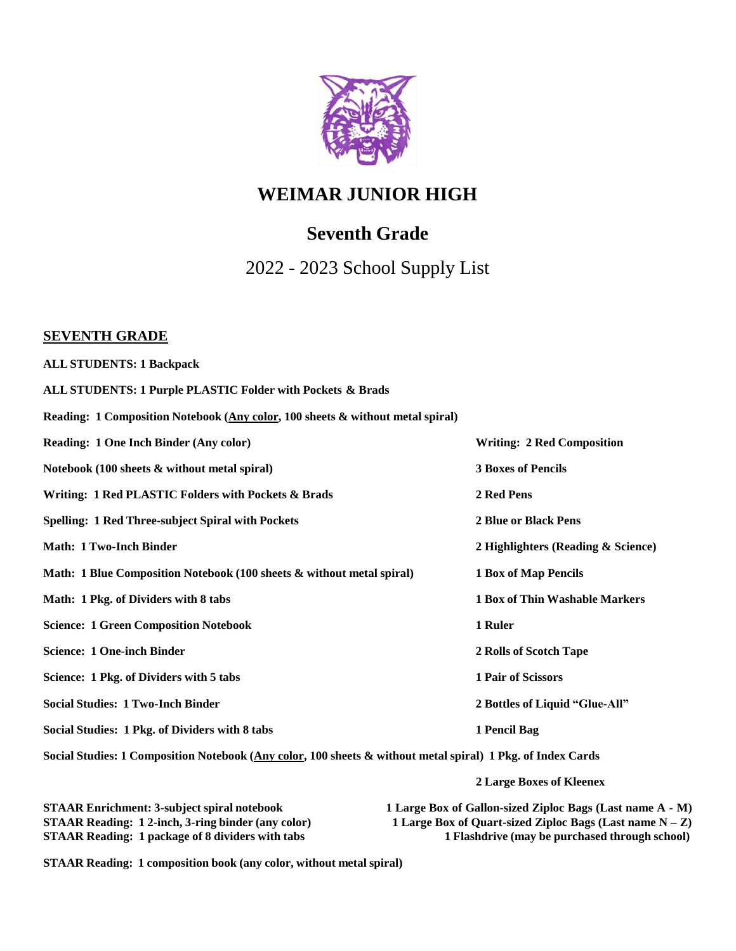

## **Seventh Grade**

2022 - 2023 School Supply List

#### **SEVENTH GRADE**

| <b>ALL STUDENTS: 1 Backpack</b>                                                |                                    |
|--------------------------------------------------------------------------------|------------------------------------|
| ALL STUDENTS: 1 Purple PLASTIC Folder with Pockets & Brads                     |                                    |
| Reading: 1 Composition Notebook (Any color, 100 sheets & without metal spiral) |                                    |
| <b>Reading: 1 One Inch Binder (Any color)</b>                                  | <b>Writing: 2 Red Composition</b>  |
| Notebook (100 sheets & without metal spiral)                                   | <b>3 Boxes of Pencils</b>          |
| Writing: 1 Red PLASTIC Folders with Pockets & Brads                            | 2 Red Pens                         |
| <b>Spelling: 1 Red Three-subject Spiral with Pockets</b>                       | 2 Blue or Black Pens               |
| <b>Math: 1 Two-Inch Binder</b>                                                 | 2 Highlighters (Reading & Science) |
| Math: 1 Blue Composition Notebook (100 sheets & without metal spiral)          | <b>1 Box of Map Pencils</b>        |
| Math: 1 Pkg. of Dividers with 8 tabs                                           | 1 Box of Thin Washable Markers     |
| <b>Science: 1 Green Composition Notebook</b>                                   | 1 Ruler                            |
| <b>Science: 1 One-inch Binder</b>                                              | 2 Rolls of Scotch Tape             |
| Science: 1 Pkg. of Dividers with 5 tabs                                        | 1 Pair of Scissors                 |
| <b>Social Studies: 1 Two-Inch Binder</b>                                       | 2 Bottles of Liquid "Glue-All"     |
| Social Studies: 1 Pkg. of Dividers with 8 tabs                                 | 1 Pencil Bag                       |

Social Studies: 1 Composition Notebook (Any color, 100 sheets & without metal spiral) 1 Pkg. of Index Cards

**2 Large Boxes of Kleenex**

| <b>STAAR Enrichment: 3-subject spiral notebook</b>       | 1 Large Box of Gallon-sized Ziploc Bags (Last name A - M)   |
|----------------------------------------------------------|-------------------------------------------------------------|
| <b>STAAR Reading: 12-inch, 3-ring binder (any color)</b> | 1 Large Box of Quart-sized Ziploc Bags (Last name $N - Z$ ) |
| <b>STAAR Reading: 1 package of 8 dividers with tabs</b>  | 1 Flashdrive (may be purchased through school)              |

**STAAR Reading: 1 composition book (any color, without metal spiral)**